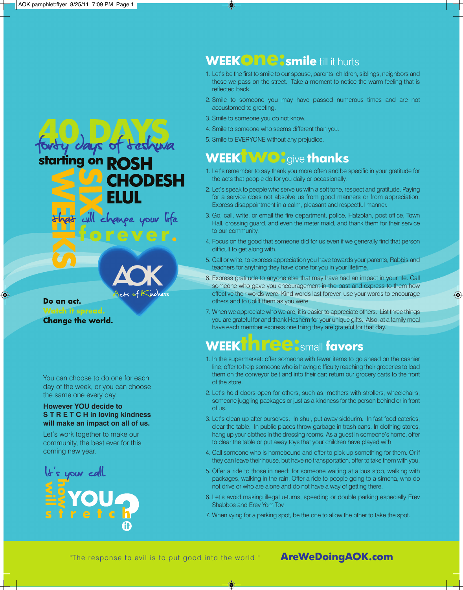starting on ROSH



**CHODESH** 

npe your life

Do an act. **Watch it spread. Change the world.** 

You can choose to do one for each day of the week, or you can choose the same one every day.

### **However YOU decide to S T R E T C H in loving kindness will make an impact on all of us.**

Let's work together to make our community, the best ever for this coming new year.



### **WEEKONG:** smile till it hurts

- 1. Let's be the first to smile to our spouse, parents, children, siblings, neighbors and those we pass on the street. Take a moment to notice the warm feeling that is reflected back.
- 2. Smile to someone you may have passed numerous times and are not accustomed to greeting.
- 3. Smile to someone you do not know.
- 4. Smile to someone who seems different than you.
- 5. Smile to EVERYONE without any prejudice.

### **WEEKTWO:give thanks**

- 1. Let's remember to say thank you more often and be specific in your gratitude for the acts that people do for you daily or occasionally.
- 2. Let's speak to people who serve us with a soft tone, respect and gratitude. Paying for a service does not absolve us from good manners or from appreciation. Express disappointment in a calm, pleasant and respectful manner.
- 3. Go, call, write, or email the fire department, police, Hatzolah, post office, Town Hall, crossing guard, and even the meter maid, and thank them for their service to our community.
- 4. Focus on the good that someone did for us even if we generally find that person difficult to get along with.
- 5. Call or write, to express appreciation you have towards your parents, Rabbis and teachers for anything they have done for you in your lifetime.
- 6. Express gratitude to anyone else that may have had an impact in your life. Call someone who gave you encouragement in the past and express to them how effective their words were. Kind words last forever, use your words to encourage others and to uplift them as you were.
- 7. When we appreciate who we are, it is easier to appreciate others. List three things you are grateful for and thank Hashem for your unique gifts. Also, at a family meal have each member express one thing they are grateful for that day.

### **WEEKTHREE:** small **favors**

- 1. In the supermarket: offer someone with fewer items to go ahead on the cashier line; offer to help someone who is having difficulty reaching their groceries to load them on the conveyor belt and into their car; return our grocery carts to the front of the store.
- 2. Let's hold doors open for others, such as; mothers with strollers, wheelchairs, someone juggling packages or just as a kindness for the person behind or in front of us.
- 3. Let's clean up after ourselves. In shul, put away siddurim. In fast food eateries, clear the table. In public places throw garbage in trash cans. In clothing stores, hang up your clothes in the dressing rooms. As a guest in someone's home, offer to clear the table or put away toys that your children have played with.
- 4. Call someone who is homebound and offer to pick up something for them. Or if they can leave their house, but have no transportation, offer to take them with you.
- 5. Offer a ride to those in need: for someone waiting at a bus stop, walking with packages, walking in the rain. Offer a ride to people going to a simcha, who do not drive or who are alone and do not have a way of getting there.
- 6. Let's avoid making illegal u-turns, speeding or double parking especially Erev Shabbos and Erev Yom Tov.
- 7. When vying for a parking spot, be the one to allow the other to take the spot.

"The response to evil is to put good into the world." **AreWeDoingAOK.com**